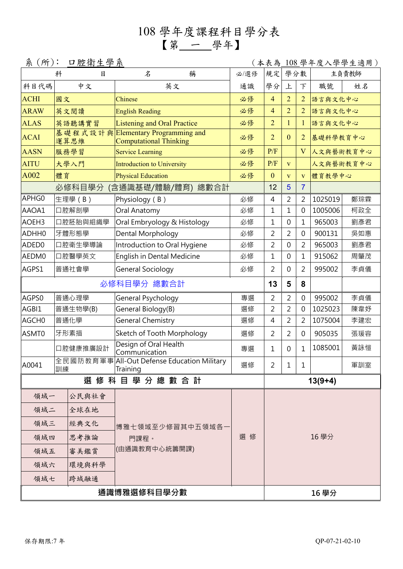## 108 學年度課程科目學分表 【第 一 學年】

| 口腔衛生學系<br>系(所):<br>(本表為 |             |          |                                                                    |      |                |                         |                |           | <u>108</u> 學年度入學學生適用) |  |
|-------------------------|-------------|----------|--------------------------------------------------------------------|------|----------------|-------------------------|----------------|-----------|-----------------------|--|
| 科<br>目                  |             |          | 名<br>稱                                                             | 必/選修 | 規定             | 學分數                     |                | 主負責教師     |                       |  |
| 科目代碼                    |             | 中文       | 英文                                                                 | 通識   | 學分             | 上                       | 下              | 職號        | 姓名                    |  |
| <b>ACHI</b>             | 國文          |          | Chinese                                                            | 必修   | $\overline{4}$ | $\overline{2}$          | $\overline{2}$ | 語言與文化中心   |                       |  |
| <b>ARAW</b>             |             | 英文閱讀     | <b>English Reading</b>                                             | 必修   | $\overline{4}$ | $\overline{2}$          | $\overline{2}$ | 語言與文化中心   |                       |  |
| <b>ALAS</b>             |             | 英語聽講實習   | <b>Listening and Oral Practice</b>                                 | 必修   | $\overline{2}$ | 1                       | 1              | 語言與文化中心   |                       |  |
| <b>ACAI</b>             |             | 運算思維     | 基礎程式設計與Elementary Programming and<br><b>Computational Thinking</b> | 必修   | $\overline{2}$ | $\mathbf{0}$            | $\overline{2}$ |           | 基礎科學教育中心              |  |
| <b>AASN</b>             |             | 服務學習     | <b>Service Learning</b>                                            | 必修   | P/F            |                         | V              | 人文與藝術教育中心 |                       |  |
| <b>AITU</b>             |             | 大學入門     | <b>Introduction to University</b>                                  | 必修   | P/F            | $\overline{\mathbf{V}}$ |                | 人文與藝術教育中心 |                       |  |
| A002                    | 體育          |          | <b>Physical Education</b>                                          | 必修   | $\mathbf{0}$   | $\overline{\mathbf{V}}$ | V              | 體育教學中心    |                       |  |
|                         |             | 必修科目學分   | (含通識基礎/體驗/體育)<br>總數合計                                              |      | 12             | 5                       | $\overline{7}$ |           |                       |  |
| APHG0                   |             | 生理學(B)   | Physiology (B)                                                     | 必修   | $\overline{4}$ | $\overline{2}$          | $\overline{2}$ | 1025019   | 鄭琮霖                   |  |
| AAOA1                   |             | 口腔解剖學    | Oral Anatomy                                                       | 必修   | $\mathbf{1}$   | $\mathbf 1$             | $\mathbf 0$    | 1005006   | 柯政全                   |  |
| AOEH3                   |             | 口腔胚胎與組織學 | Oral Embryology & Histology                                        | 必修   | $\mathbf{1}$   | 0                       | $\mathbf 1$    | 965003    | 劉彥君                   |  |
| ADHH0                   | 牙體形態學       |          | Dental Morphology                                                  | 必修   | $\overline{2}$ | 2                       | $\overline{0}$ | 900131    | 吳如惠                   |  |
| ADED0                   | 口腔衛生學導論     |          | Introduction to Oral Hygiene                                       | 必修   | $\overline{2}$ | 0                       | $\overline{2}$ | 965003    | 劉彥君                   |  |
| AEDM0<br>口腔醫學英文         |             |          | English in Dental Medicine                                         | 必修   | $\mathbf 1$    | 0                       | $\mathbf{1}$   | 915062    | 周肇茂                   |  |
| AGPS1                   | 普通社會學       |          | General Sociology                                                  | 必修   | $\overline{2}$ | 0                       | 2              | 995002    | 李貞儀                   |  |
|                         | 必修科目學分 總數合計 |          |                                                                    |      |                | 5                       | 8              |           |                       |  |
| AGPS0                   |             | 普通心理學    | General Psychology                                                 | 專選   | $\overline{2}$ | $\overline{2}$          | 0              | 995002    | 李貞儀                   |  |
| AGBI1                   | 普通生物學(B)    |          | General Biology(B)                                                 | 選修   | $\overline{2}$ | $\overline{2}$          | 0              | 1025023   | 陳韋妤                   |  |
| AGCH0<br>普通化學           |             |          | <b>General Chemistry</b>                                           | 選修   | $\overline{4}$ | $\overline{2}$          | $\overline{2}$ | 1075004   | 李建宏                   |  |
| ASMT0                   | 牙形素描        |          | Sketch of Tooth Morphology                                         | 選修   | 2              | 2                       | 0              | 905035    | 張瑗容                   |  |
| 口腔健康推廣設計                |             |          | Design of Oral Health<br>Communication                             | 專選   | 1              | 0                       | $\mathbf{1}$   | 1085001   | 黃詠愷                   |  |
| A0041                   | 訓練          |          | 全民國防教育軍事 All-Out Defense Education Military<br>Training            | 選修   | 2              | 1                       | 1              |           | 軍訓室                   |  |
| 選修科目學分總數合計              |             |          |                                                                    |      |                |                         |                | $13(9+4)$ |                       |  |
| 領域一                     |             | 公民與社會    |                                                                    |      |                |                         |                |           |                       |  |
| 領域二                     |             | 全球在地     |                                                                    |      |                |                         |                |           |                       |  |
| 領域三                     |             | 經典文化     | 博雅七領域至少修習其中五領域各一                                                   |      | 16學分           |                         |                |           |                       |  |
| 領域四                     |             | 思考推論     | 門課程。                                                               | 選 修  |                |                         |                |           |                       |  |
| 領域五                     |             | 審美鑑賞     | (由通識教育中心統籌開課)                                                      |      |                |                         |                |           |                       |  |
| 領域六                     |             | 環境與科學    |                                                                    |      |                |                         |                |           |                       |  |
| 領域七                     |             | 跨域融通     |                                                                    |      |                |                         |                |           |                       |  |
| 通識博雅選修科目學分數             |             |          |                                                                    |      |                |                         |                | 16 學分     |                       |  |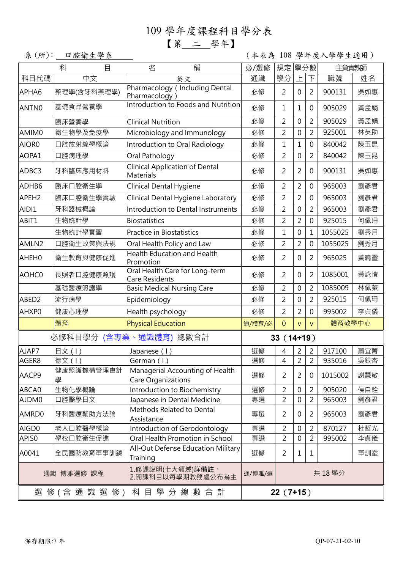# 109 學年度課程科目學分表

【第 二 學年】

系(所): 口腔衛生學系 (本表為 108 學年度入學學生適用)

|                                                              | 目<br>科          | 稱<br>名                                                    | 必/選修       | 學分數<br>規定                              |                | 主負責教師                    |         |     |
|--------------------------------------------------------------|-----------------|-----------------------------------------------------------|------------|----------------------------------------|----------------|--------------------------|---------|-----|
| 科目代碼                                                         | 中文              | 英文                                                        | 通識         | 學分                                     | 上              | $\overline{\mathcal{F}}$ | 職號      | 姓名  |
| APHA6                                                        | 藥理學(含牙科藥理學)     | Pharmacology ( Including Dental<br>Pharmacology)          | 必修         | $\overline{2}$                         | $\mathbf 0$    | $\overline{2}$           | 900131  | 吳如惠 |
| ANTN0                                                        | 基礎食品營養學         | Introduction to Foods and Nutrition                       | 必修         | 1                                      | $\mathbf 1$    | 0                        | 905029  | 黃孟娟 |
|                                                              | 臨床營養學           | <b>Clinical Nutrition</b>                                 | 必修         | $\overline{2}$                         | 0              | $\overline{2}$           | 905029  | 黃孟娟 |
| AMIM0                                                        | 微生物學及免疫學        | Microbiology and Immunology                               | 必修         | $\overline{2}$                         | $\mathbf 0$    | $\overline{2}$           | 925001  | 林英助 |
| AIOR0                                                        | 口腔放射線學概論        | Introduction to Oral Radiology                            | 必修         | 1                                      | $\mathbf{1}$   | $\mathbf 0$              | 840042  | 陳玉昆 |
| AOPA1                                                        | 口腔病理學           | Oral Pathology                                            | 必修         | $\overline{2}$                         | $\mathbf 0$    | $\overline{2}$           | 840042  | 陳玉昆 |
| ADBC3                                                        | 牙科臨床應用材料        | <b>Clinical Application of Dental</b><br><b>Materials</b> | 必修         | $\overline{2}$                         | $\overline{2}$ | 0                        | 900131  | 吳如惠 |
| ADHB6                                                        | 臨床口腔衛生學         | Clinical Dental Hygiene                                   | 必修         | $\overline{2}$                         | 2              | 0                        | 965003  | 劉彥君 |
| APEH <sub>2</sub>                                            | 臨床口腔衛生學實驗       | Clinical Dental Hygiene Laboratory                        | 必修         | $\overline{2}$                         | $\overline{2}$ | $\mathbf 0$              | 965003  | 劉彥君 |
| AIDI1                                                        | 牙科器械概論          | Introduction to Dental Instruments                        | 必修         | $\overline{2}$                         | $\mathbf 0$    | $\overline{2}$           | 965003  | 劉彥君 |
| ABIT1                                                        | 生物統計學           | <b>Biostatistics</b>                                      | 必修         | $\overline{2}$                         | $\overline{2}$ | $\mathbf 0$              | 925015  | 何佩珊 |
|                                                              | 生物統計學實習         | Practice in Biostatistics                                 | 必修         | 1                                      | 0              | $\mathbf{1}$             | 1055025 | 劉秀月 |
| AMLN2                                                        | 口腔衛生政策與法規       | Oral Health Policy and Law                                | 必修         | 2                                      | $\overline{2}$ | $\mathbf 0$              | 1055025 | 劉秀月 |
| AHEH0                                                        | 衛生教育與健康促進       | <b>Health Education and Health</b><br>Promotion           | 必修         | 2                                      | $\mathbf 0$    | $\overline{2}$           | 965025  | 黃曉靈 |
| AOHC0                                                        | 長照者口腔健康照護       | Oral Health Care for Long-term<br><b>Care Residents</b>   | 必修         | $\overline{2}$                         | 0              | 2                        | 1085001 | 黃詠愷 |
|                                                              | 基礎醫療照護學         | <b>Basic Medical Nursing Care</b>                         | 必修         | $\overline{2}$                         | 0              | 2                        | 1085009 | 林佩蓁 |
| ABED2                                                        | 流行病學            | Epidemiology                                              | 必修         | $\overline{2}$                         | 0              | $\overline{2}$           | 925015  | 何佩珊 |
| AHXP0                                                        | 健康心理學           | Health psychology                                         | 必修         | $\overline{2}$                         | $\overline{2}$ | 0                        | 995002  | 李貞儀 |
|                                                              | 體育              | <b>Physical Education</b>                                 | 通/體育/必     | 體育教學中心<br>$\mathbf{0}$<br>$\vee$<br>V. |                |                          |         |     |
| 必修科目學分 (含專業、通識體育) 總數合計                                       | $33(14+19)$     |                                                           |            |                                        |                |                          |         |     |
| AJAP7                                                        | 日文(I)           | Japanese (1)                                              | 選修         | 4                                      | 2              | 2                        | 917100  | 蕭宜菁 |
| AGER8                                                        | 德文(I)           | German (1)                                                | 選修         | $\overline{4}$                         | $\overline{2}$ | $\overline{2}$           | 935016  | 吳銀杏 |
| AACP9                                                        | 健康照護機構管理會計<br>學 | Managerial Accounting of Health<br>Care Organizations     | 選修         | $\overline{2}$                         | $\overline{2}$ | 0                        | 1015002 | 謝慧敏 |
| ABCA0                                                        | 生物化學概論          | Introduction to Biochemistry                              | 選修         | $\overline{2}$                         | 0              | 2                        | 905020  | 侯自銓 |
| AJDM0                                                        | 口腔醫學日文          | Japanese in Dental Medicine                               | 專選         | $\overline{2}$                         | $\mathbf 0$    | $\overline{2}$           | 965003  | 劉彥君 |
| AMRD0                                                        | 牙科醫療輔助方法論       | Methods Related to Dental<br>Assistance                   | 專選         | $\overline{2}$                         | 0              | 2                        | 965003  | 劉彥君 |
| AIGD0                                                        | 老人口腔醫學概論        | Introduction of Gerodontology                             | 專選         | $\overline{2}$                         | $\mathbf 0$    | 2                        | 870127  | 杜哲光 |
| APIS0                                                        | 學校口腔衛生促進        | Oral Health Promotion in School                           | 專選         | $\overline{2}$                         | 0              | 2                        | 995002  | 李貞儀 |
| A0041                                                        | 全民國防教育軍事訓練      | All-Out Defense Education Military<br>Training            | 選修         | $\overline{2}$                         | 1              | 1                        |         | 軍訓室 |
| 1.修課說明(七大領域)詳 <b>備註</b> 。<br>通識 博雅選修 課程<br>2.開課科目以每學期教務處公布為主 |                 |                                                           | 通/博雅/選     |                                        |                |                          | 共 18 學分 |     |
| 選 修 ( 含 通 識 選 修 )  科 目 學 分 總 數 合 計                           |                 |                                                           | $22(7+15)$ |                                        |                |                          |         |     |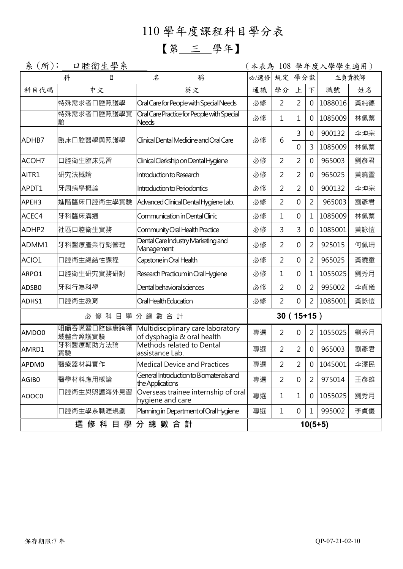# 110 學年度課程科目學分表

## 【第 三 學年】

| 糸<br>$(f)$ :      | 口腔衛生學系                 |                                                                 |      |                |                |                | (本表為 108_學年度入學學生適用) |       |  |  |
|-------------------|------------------------|-----------------------------------------------------------------|------|----------------|----------------|----------------|---------------------|-------|--|--|
|                   | 科<br>目                 | 稱<br>名                                                          | 必/選修 | 規定             | 學分數            |                |                     | 主負責教師 |  |  |
| 科目代碼              | 中文                     | 英文                                                              | 通識   | 學分             | 上              | 下              | 職號                  | 姓名    |  |  |
|                   | 特殊需求者口腔照護學             | Oral Care for People with Special Needs                         | 必修   | 2              | 2              | 0              | 1088016             | 黃純德   |  |  |
|                   | 特殊需求者口腔照護學實<br>驗       | Oral Care Practice for People with Special<br><b>Needs</b>      | 必修   | 1              | 1              | 0              | 1085009             | 林佩蓁   |  |  |
|                   |                        |                                                                 |      | 6              | 3              | $\mathbf 0$    | 900132              | 李坤宗   |  |  |
| ADHB7             | 臨床口腔醫學與照護學             | Clinical Dental Medicine and Oral Care                          | 必修   |                | 0              | 3              | 1085009             | 林佩蓁   |  |  |
| ACOH7             | 口腔衛生臨床見習               | Clinical Clerkship on Dental Hygiene                            | 必修   | 2              | 2              | 0              | 965003              | 劉彥君   |  |  |
| AITR1             | 研究法概論                  | Introduction to Research                                        | 必修   | $\overline{2}$ | $\overline{2}$ | $\mathbf 0$    | 965025              | 黃曉靈   |  |  |
| APDT1             | 牙周病學概論                 | Introduction to Periodontics                                    | 必修   | 2              | $\overline{2}$ | $\mathbf 0$    | 900132              | 李坤宗   |  |  |
| APEH3             | 進階臨床口腔衛生學實驗            | Advanced Clinical Dental Hygiene Lab.                           | 必修   | $\overline{2}$ | 0              | $\overline{2}$ | 965003              | 劉彥君   |  |  |
| ACEC4             | 牙科臨床溝通                 | Communication in Dental Clinic                                  | 必修   | 1              | 0              | 1              | 1085009             | 林佩蓁   |  |  |
| ADHP <sub>2</sub> | 社區口腔衛生實務               | Community Oral Health Practice                                  | 必修   | 3              | 3              | $\mathbf 0$    | 1085001             | 黃詠愷   |  |  |
| ADMM1             | 牙科醫療產業行銷管理             | Dental Care Industry Marketing and<br>Management                | 必修   | 2              | 0              | $\overline{2}$ | 925015              | 何佩珊   |  |  |
| ACIO1             | 口腔衛生總結性課程              | Capstone in Oral Health                                         | 必修   | 2              | 0              | 2              | 965025              | 黃曉靈   |  |  |
| ARPO1             | 口腔衛生研究實務研討             | Research Practicum in Oral Hygiene                              | 必修   | 1              | 0              | 1              | 1055025             | 劉秀月   |  |  |
| ADSB0             | 牙科行為科學                 | Dental behavioral sciences                                      | 必修   | $\overline{2}$ | 0              | $\overline{2}$ | 995002              | 李貞儀   |  |  |
| ADHS1             | 口腔衛生教育                 | Oral Health Education                                           | 必修   | 2              | $\Omega$       | $\overline{2}$ | 1085001             | 黃詠愷   |  |  |
|                   |                        | 必修科目學分總數合計                                                      |      | $30(15+15)$    |                |                |                     |       |  |  |
| AMDO0             | 咀嚼吞嚥暨口腔健康跨領<br>域整合照護實驗 | Multidisciplinary care laboratory<br>of dysphagia & oral health | 專選   | $\overline{2}$ | $\Omega$       | 2              | 1055025             | 劉秀月   |  |  |
| AMRD1             | 牙科醫療輔助方法論<br>實驗        | Methods related to Dental<br>assistance Lab.                    | 專選   | 2              | $\overline{2}$ | 0              | 965003              | 劉彥君   |  |  |
| APDM0             | 醫療器材與實作                | <b>Medical Device and Practices</b>                             | 專選   | $\overline{c}$ | $\overline{c}$ |                | 0 1045001           | 李澤民   |  |  |
| AGIB0             | 醫學材料應用概論               | General Introduction to Biomaterials and<br>the Applications    | 專選   | $\overline{2}$ | 0              | 2              | 975014              | 王彥雄   |  |  |
| AOOC0             | 口腔衛生與照護海外見習            | Overseas trainee internship of oral<br>hygiene and care         | 專選   | 1              | 1              | 0              | 1055025             | 劉秀月   |  |  |
|                   | 口腔衛生學系職涯規劃             | Planning in Department of Oral Hygiene                          | 專選   | 1              | 0              | 1              | 995002              | 李貞儀   |  |  |
|                   | 選 修 科 目 學 分 總 數 合 計    |                                                                 |      |                | $10(5+5)$      |                |                     |       |  |  |